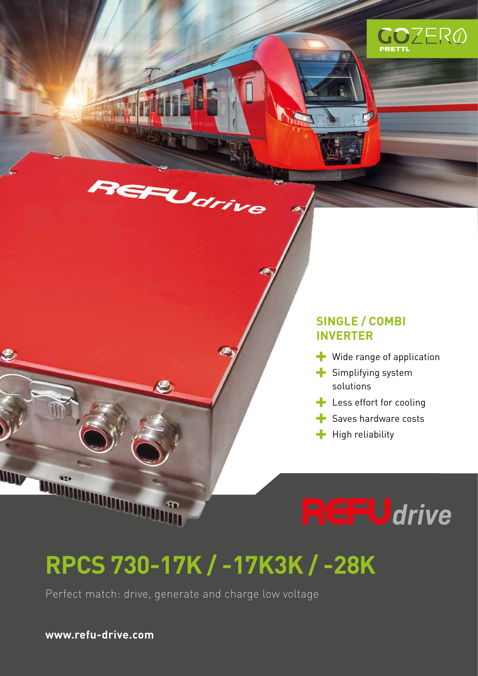

**Wide range of application** 

**GOZER**<sup></sup>

- $\blacktriangleright$  Simplifying system solutions
- $\blacksquare$  Less effort for cooling
- $\blacktriangleright$  Saves hardware costs

REFUdrive

 $\blacksquare$  High reliability

# **RPCS 730-17K / -17K3K / -28K**

Perfect match: drive, generate and charge low voltage

**LUUIN** 

REFUdrive

**www.refu-drive.com**

**IIII** 

 $\mathbf{u}$ 

**DOUGLOUDED IN**